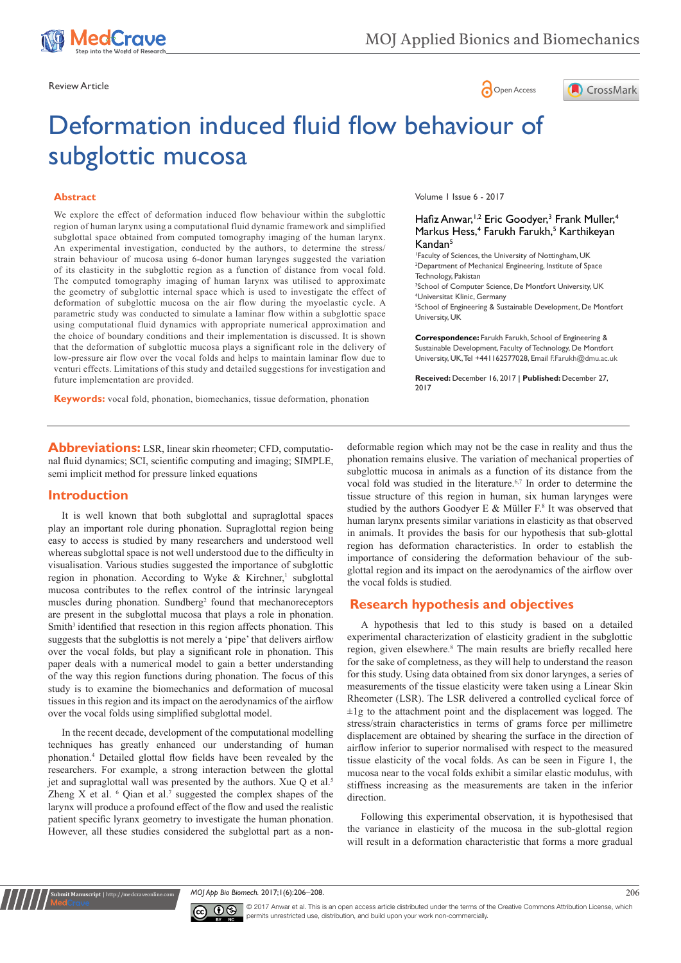

Review Article **Contracts** Contracts and Contracts Contracts Contracts Contracts Contracts Contracts Contracts Contracts Contracts Contracts Contracts Contracts Contracts Contracts Contracts Contracts Contracts Contracts C



# Deformation induced fluid flow behaviour of subglottic mucosa

#### **Abstract**

We explore the effect of deformation induced flow behaviour within the subglottic region of human larynx using a computational fluid dynamic framework and simplified subglottal space obtained from computed tomography imaging of the human larynx. An experimental investigation, conducted by the authors, to determine the stress/ strain behaviour of mucosa using 6-donor human larynges suggested the variation of its elasticity in the subglottic region as a function of distance from vocal fold. The computed tomography imaging of human larynx was utilised to approximate the geometry of subglottic internal space which is used to investigate the effect of deformation of subglottic mucosa on the air flow during the myoelastic cycle. A parametric study was conducted to simulate a laminar flow within a subglottic space using computational fluid dynamics with appropriate numerical approximation and the choice of boundary conditions and their implementation is discussed. It is shown that the deformation of subglottic mucosa plays a significant role in the delivery of low-pressure air flow over the vocal folds and helps to maintain laminar flow due to venturi effects. Limitations of this study and detailed suggestions for investigation and future implementation are provided.

**Keywords:** vocal fold, phonation, biomechanics, tissue deformation, phonation

Volume 1 Issue 6 - 2017

#### Hafiz Anwar,<sup>1,2</sup> Eric Goodyer,<sup>3</sup> Frank Muller,<sup>4</sup> Markus Hess,<sup>4</sup> Farukh Farukh,<sup>5</sup> Karthikeyan Kandan5

1 Faculty of Sciences, the University of Nottingham, UK 2 Department of Mechanical Engineering, Institute of Space Technology, Pakistan

<sup>3</sup>School of Computer Science, De Montfort University, UK 4 Universitat Klinic, Germany 5 School of Engineering & Sustainable Development, De Montfort University, UK

**Correspondence:** Farukh Farukh, School of Engineering & Sustainable Development, Faculty of Technology, De Montfort University, UK, Tel +441162577028, Email F.Farukh@dmu.ac.uk

**Received:** December 16, 2017 | **Published:** December 27, 2017

**Abbreviations:** LSR, linear skin rheometer; CFD, computational fluid dynamics; SCI, scientific computing and imaging; SIMPLE, semi implicit method for pressure linked equations

## **Introduction**

**nit Manuscript** | http://medcrave

It is well known that both subglottal and supraglottal spaces play an important role during phonation. Supraglottal region being easy to access is studied by many researchers and understood well whereas subglottal space is not well understood due to the difficulty in visualisation. Various studies suggested the importance of subglottic region in phonation. According to Wyke  $\&$  Kirchner,<sup>1</sup> subglottal mucosa contributes to the reflex control of the intrinsic laryngeal muscles during phonation. Sundberg<sup>2</sup> found that mechanoreceptors are present in the subglottal mucosa that plays a role in phonation. Smith<sup>3</sup> identified that resection in this region affects phonation. This suggests that the subglottis is not merely a 'pipe' that delivers airflow over the vocal folds, but play a significant role in phonation. This paper deals with a numerical model to gain a better understanding of the way this region functions during phonation. The focus of this study is to examine the biomechanics and deformation of mucosal tissues in this region and its impact on the aerodynamics of the airflow over the vocal folds using simplified subglottal model.

In the recent decade, development of the computational modelling techniques has greatly enhanced our understanding of human phonation.<sup>4</sup> Detailed glottal flow fields have been revealed by the researchers. For example, a strong interaction between the glottal jet and supraglottal wall was presented by the authors. Xue Q et al.<sup>5</sup> Zheng X et al.  $\delta$  Qian et al.<sup>7</sup> suggested the complex shapes of the larynx will produce a profound effect of the flow and used the realistic patient specific lyranx geometry to investigate the human phonation. However, all these studies considered the subglottal part as a nondeformable region which may not be the case in reality and thus the phonation remains elusive. The variation of mechanical properties of subglottic mucosa in animals as a function of its distance from the vocal fold was studied in the literature.<sup>6,7</sup> In order to determine the tissue structure of this region in human, six human larynges were studied by the authors Goodyer E & Müller  $F^s$ . It was observed that human larynx presents similar variations in elasticity as that observed in animals. It provides the basis for our hypothesis that sub-glottal region has deformation characteristics. In order to establish the importance of considering the deformation behaviour of the subglottal region and its impact on the aerodynamics of the airflow over the vocal folds is studied.

# **Research hypothesis and objectives**

A hypothesis that led to this study is based on a detailed experimental characterization of elasticity gradient in the subglottic region, given elsewhere.<sup>8</sup> The main results are briefly recalled here for the sake of completness, as they will help to understand the reason for this study. Using data obtained from six donor larynges, a series of measurements of the tissue elasticity were taken using a Linear Skin Rheometer (LSR). The LSR delivered a controlled cyclical force of  $\pm 1$ g to the attachment point and the displacement was logged. The stress/strain characteristics in terms of grams force per millimetre displacement are obtained by shearing the surface in the direction of airflow inferior to superior normalised with respect to the measured tissue elasticity of the vocal folds. As can be seen in Figure 1, the mucosa near to the vocal folds exhibit a similar elastic modulus, with stiffness increasing as the measurements are taken in the inferior direction.

Following this experimental observation, it is hypothesised that the variance in elasticity of the mucosa in the sub-glottal region will result in a deformation characteristic that forms a more gradual

*MOJ App Bio Biomech.* 2017;1(6):206‒208. 206



© 2017 Anwar et al. This is an open access article distributed under the terms of the [Creative Commons Attribution License,](https://creativecommons.org/licenses/by-nc/4.0/) which permits unrestricted use, distribution, and build upon your work non-commercially.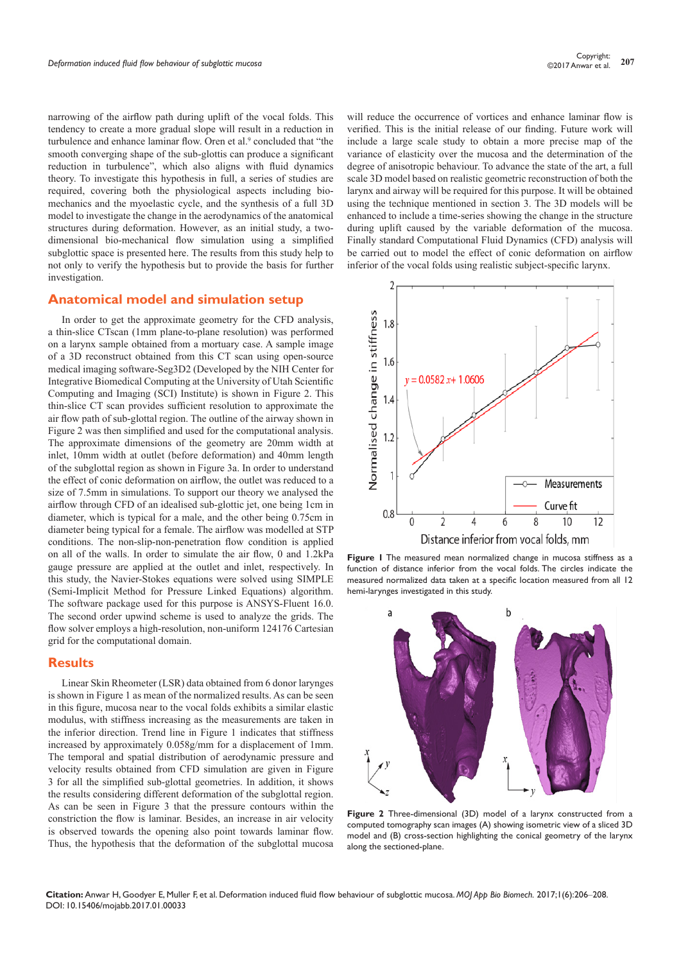narrowing of the airflow path during uplift of the vocal folds. This tendency to create a more gradual slope will result in a reduction in turbulence and enhance laminar flow. Oren et al.<sup>9</sup> concluded that "the smooth converging shape of the sub-glottis can produce a significant reduction in turbulence", which also aligns with fluid dynamics theory. To investigate this hypothesis in full, a series of studies are required, covering both the physiological aspects including biomechanics and the myoelastic cycle, and the synthesis of a full 3D model to investigate the change in the aerodynamics of the anatomical structures during deformation. However, as an initial study, a twodimensional bio-mechanical flow simulation using a simplified subglottic space is presented here. The results from this study help to not only to verify the hypothesis but to provide the basis for further investigation.

#### **Anatomical model and simulation setup**

In order to get the approximate geometry for the CFD analysis, a thin-slice CTscan (1mm plane-to-plane resolution) was performed on a larynx sample obtained from a mortuary case. A sample image of a 3D reconstruct obtained from this CT scan using open-source medical imaging software-Seg3D2 (Developed by the NIH Center for Integrative Biomedical Computing at the University of Utah Scientific Computing and Imaging (SCI) Institute) is shown in Figure 2. This thin-slice CT scan provides sufficient resolution to approximate the air flow path of sub-glottal region. The outline of the airway shown in Figure 2 was then simplified and used for the computational analysis. The approximate dimensions of the geometry are 20mm width at inlet, 10mm width at outlet (before deformation) and 40mm length of the subglottal region as shown in Figure 3a. In order to understand the effect of conic deformation on airflow, the outlet was reduced to a size of 7.5mm in simulations. To support our theory we analysed the airflow through CFD of an idealised sub-glottic jet, one being 1cm in diameter, which is typical for a male, and the other being 0.75cm in diameter being typical for a female. The airflow was modelled at STP conditions. The non-slip-non-penetration flow condition is applied on all of the walls. In order to simulate the air flow, 0 and 1.2kPa gauge pressure are applied at the outlet and inlet, respectively. In this study, the Navier-Stokes equations were solved using SIMPLE (Semi-Implicit Method for Pressure Linked Equations) algorithm. The software package used for this purpose is ANSYS-Fluent 16.0. The second order upwind scheme is used to analyze the grids. The flow solver employs a high-resolution, non-uniform 124176 Cartesian grid for the computational domain.

#### **Results**

Linear Skin Rheometer (LSR) data obtained from 6 donor larynges is shown in Figure 1 as mean of the normalized results. As can be seen in this figure, mucosa near to the vocal folds exhibits a similar elastic modulus, with stiffness increasing as the measurements are taken in the inferior direction. Trend line in Figure 1 indicates that stiffness increased by approximately 0.058g/mm for a displacement of 1mm. The temporal and spatial distribution of aerodynamic pressure and velocity results obtained from CFD simulation are given in Figure 3 for all the simplified sub-glottal geometries. In addition, it shows the results considering different deformation of the subglottal region. As can be seen in Figure 3 that the pressure contours within the constriction the flow is laminar. Besides, an increase in air velocity is observed towards the opening also point towards laminar flow. Thus, the hypothesis that the deformation of the subglottal mucosa

will reduce the occurrence of vortices and enhance laminar flow is verified. This is the initial release of our finding. Future work will include a large scale study to obtain a more precise map of the variance of elasticity over the mucosa and the determination of the degree of anisotropic behaviour. To advance the state of the art, a full scale 3D model based on realistic geometric reconstruction of both the larynx and airway will be required for this purpose. It will be obtained using the technique mentioned in section 3. The 3D models will be enhanced to include a time-series showing the change in the structure during uplift caused by the variable deformation of the mucosa. Finally standard Computational Fluid Dynamics (CFD) analysis will be carried out to model the effect of conic deformation on airflow inferior of the vocal folds using realistic subject-specific larynx.



**Figure 1** The measured mean normalized change in mucosa stiffness as a function of distance inferior from the vocal folds. The circles indicate the measured normalized data taken at a specific location measured from all 12 hemi-larynges investigated in this study.



**Figure 2** Three-dimensional (3D) model of a larynx constructed from a computed tomography scan images (A) showing isometric view of a sliced 3D model and (B) cross-section highlighting the conical geometry of the larynx along the sectioned-plane.